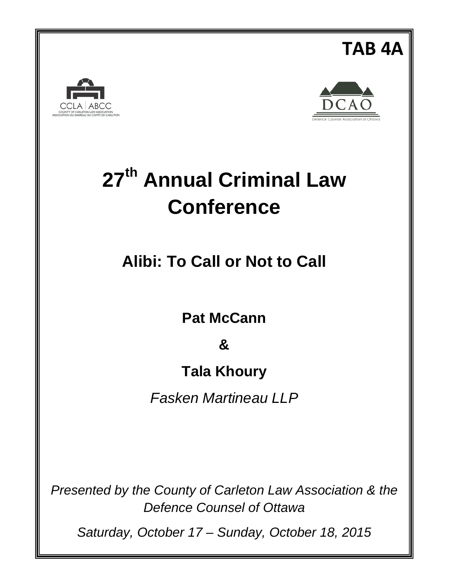# **CCLA ABCC**



**TAB 4A**

## **27th Annual Criminal Law Conference**

**Alibi: To Call or Not to Call**

**Pat McCann**

**&**

### **Tala Khoury**

*Fasken Martineau LLP*

*Presented by the County of Carleton Law Association & the Defence Counsel of Ottawa*

*Saturday, October 17 – Sunday, October 18, 2015*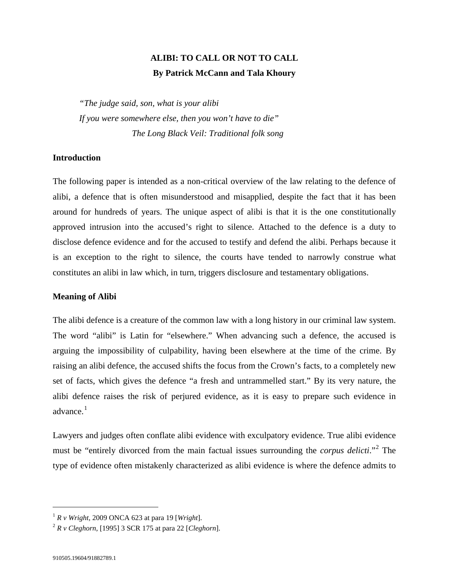#### **ALIBI: TO CALL OR NOT TO CALL By Patrick McCann and Tala Khoury**

*"The judge said, son, what is your alibi If you were somewhere else, then you won't have to die" The Long Black Veil: Traditional folk song*

#### **Introduction**

The following paper is intended as a non-critical overview of the law relating to the defence of alibi, a defence that is often misunderstood and misapplied, despite the fact that it has been around for hundreds of years. The unique aspect of alibi is that it is the one constitutionally approved intrusion into the accused's right to silence. Attached to the defence is a duty to disclose defence evidence and for the accused to testify and defend the alibi. Perhaps because it is an exception to the right to silence, the courts have tended to narrowly construe what constitutes an alibi in law which, in turn, triggers disclosure and testamentary obligations.

#### **Meaning of Alibi**

The alibi defence is a creature of the common law with a long history in our criminal law system. The word "alibi" is Latin for "elsewhere." When advancing such a defence, the accused is arguing the impossibility of culpability, having been elsewhere at the time of the crime. By raising an alibi defence, the accused shifts the focus from the Crown's facts, to a completely new set of facts, which gives the defence "a fresh and untrammelled start." By its very nature, the alibi defence raises the risk of perjured evidence, as it is easy to prepare such evidence in advance. $<sup>1</sup>$  $<sup>1</sup>$  $<sup>1</sup>$ </sup>

<span id="page-1-3"></span><span id="page-1-2"></span>Lawyers and judges often conflate alibi evidence with exculpatory evidence. True alibi evidence must be "entirely divorced from the main factual issues surrounding the *corpus delicti*."[2](#page-1-1) The type of evidence often mistakenly characterized as alibi evidence is where the defence admits to

<span id="page-1-0"></span> $1 R v$  *Wright*, 2009 ONCA 623 at para 19 [*Wright*].

<span id="page-1-1"></span><sup>2</sup> *R v Cleghorn*, [1995] 3 SCR 175 at para 22 [*Cleghorn*].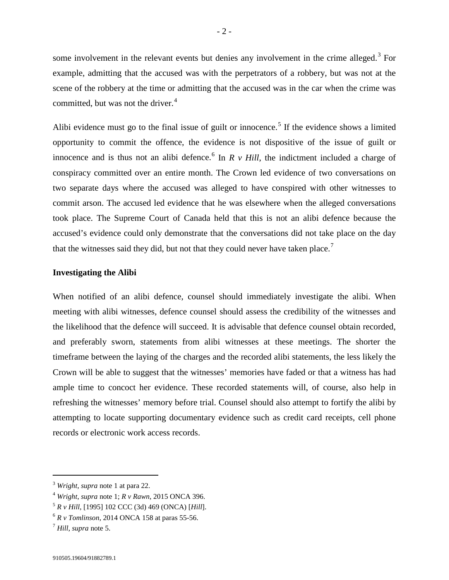some involvement in the relevant events but denies any involvement in the crime alleged.<sup>[3](#page-2-1)</sup> For example, admitting that the accused was with the perpetrators of a robbery, but was not at the scene of the robbery at the time or admitting that the accused was in the car when the crime was committed, but was not the driver.<sup>[4](#page-2-2)</sup>

<span id="page-2-0"></span>Alibi evidence must go to the final issue of guilt or innocence.<sup>[5](#page-2-3)</sup> If the evidence shows a limited opportunity to commit the offence, the evidence is not dispositive of the issue of guilt or innocence and is thus not an alibi defence.<sup>[6](#page-2-4)</sup> In  $R \vee Hill$ , the indictment included a charge of conspiracy committed over an entire month. The Crown led evidence of two conversations on two separate days where the accused was alleged to have conspired with other witnesses to commit arson. The accused led evidence that he was elsewhere when the alleged conversations took place. The Supreme Court of Canada held that this is not an alibi defence because the accused's evidence could only demonstrate that the conversations did not take place on the day that the witnesses said they did, but not that they could never have taken place.<sup>[7](#page-2-5)</sup>

#### **Investigating the Alibi**

When notified of an alibi defence, counsel should immediately investigate the alibi. When meeting with alibi witnesses, defence counsel should assess the credibility of the witnesses and the likelihood that the defence will succeed. It is advisable that defence counsel obtain recorded, and preferably sworn, statements from alibi witnesses at these meetings. The shorter the timeframe between the laying of the charges and the recorded alibi statements, the less likely the Crown will be able to suggest that the witnesses' memories have faded or that a witness has had ample time to concoct her evidence. These recorded statements will, of course, also help in refreshing the witnesses' memory before trial. Counsel should also attempt to fortify the alibi by attempting to locate supporting documentary evidence such as credit card receipts, cell phone records or electronic work access records.

<span id="page-2-1"></span> <sup>3</sup> *Wright*, *supra* note [1](#page-1-2) at para 22.

<span id="page-2-2"></span><sup>4</sup> *Wright*, *supra* note [1;](#page-1-2) *R v Rawn*, 2015 ONCA 396.

<span id="page-2-3"></span><sup>5</sup> *R v Hill*, [1995] 102 CCC (3d) 469 (ONCA) [*Hill*].

<span id="page-2-4"></span> $6 R v$  *Tomlinson*, 2014 ONCA 158 at paras 55-56.

<span id="page-2-5"></span><sup>7</sup> *Hill*, *supra* note [5.](#page-2-0)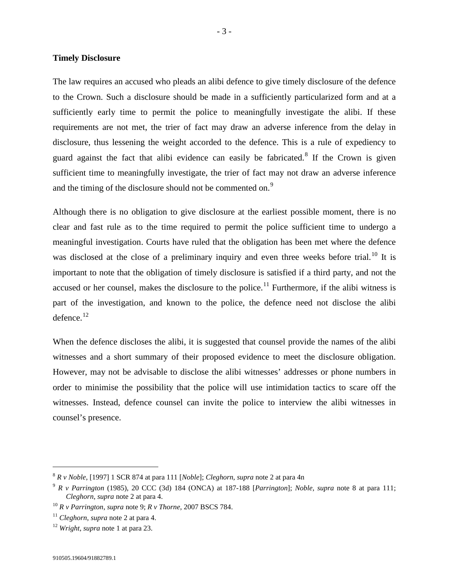#### **Timely Disclosure**

The law requires an accused who pleads an alibi defence to give timely disclosure of the defence to the Crown. Such a disclosure should be made in a sufficiently particularized form and at a sufficiently early time to permit the police to meaningfully investigate the alibi. If these requirements are not met, the trier of fact may draw an adverse inference from the delay in disclosure, thus lessening the weight accorded to the defence. This is a rule of expediency to guard against the fact that alibi evidence can easily be fabricated.<sup>[8](#page-3-2)</sup> If the Crown is given sufficient time to meaningfully investigate, the trier of fact may not draw an adverse inference and the timing of the disclosure should not be commented on.<sup>[9](#page-3-3)</sup>

<span id="page-3-1"></span><span id="page-3-0"></span>Although there is no obligation to give disclosure at the earliest possible moment, there is no clear and fast rule as to the time required to permit the police sufficient time to undergo a meaningful investigation. Courts have ruled that the obligation has been met where the defence was disclosed at the close of a preliminary inquiry and even three weeks before trial.<sup>[10](#page-3-4)</sup> It is important to note that the obligation of timely disclosure is satisfied if a third party, and not the accused or her counsel, makes the disclosure to the police.<sup>[11](#page-3-5)</sup> Furthermore, if the alibi witness is part of the investigation, and known to the police, the defence need not disclose the alibi defence.<sup>[12](#page-3-6)</sup>

When the defence discloses the alibi, it is suggested that counsel provide the names of the alibi witnesses and a short summary of their proposed evidence to meet the disclosure obligation. However, may not be advisable to disclose the alibi witnesses' addresses or phone numbers in order to minimise the possibility that the police will use intimidation tactics to scare off the witnesses. Instead, defence counsel can invite the police to interview the alibi witnesses in counsel's presence.

<span id="page-3-2"></span> <sup>8</sup> *R v Noble*, [1997] 1 SCR 874 at para 111 [*Noble*]; *Cleghorn*, *supra* note [2](#page-1-3) at para 4n

<span id="page-3-3"></span><sup>9</sup> *R v Parrington* (1985), 20 CCC (3d) 184 (ONCA) at 187-188 [*Parrington*]; *Noble*, *supra* note [8](#page-3-0) at para 111; *Cleghorn*, *supra* note [2](#page-1-3) at para 4.

<span id="page-3-4"></span><sup>10</sup> *R v Parrington*, *supra* note [9;](#page-3-1) *R v Thorne*, 2007 BSCS 784.

<span id="page-3-5"></span><sup>11</sup> *Cleghorn*, *supra* note [2](#page-1-3) at para 4.

<span id="page-3-6"></span><sup>12</sup> *Wright*, *supra* note [1](#page-1-2) at para 23.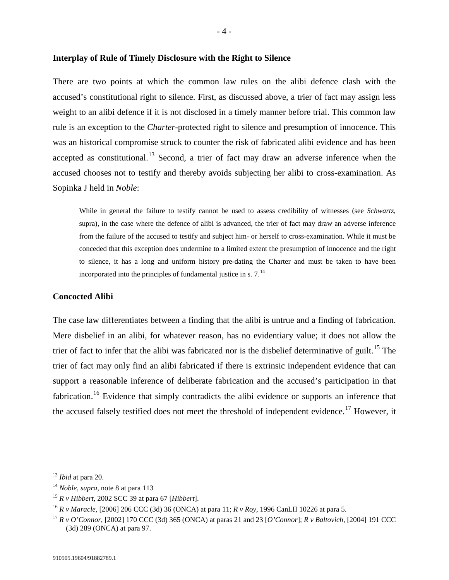There are two points at which the common law rules on the alibi defence clash with the accused's constitutional right to silence. First, as discussed above, a trier of fact may assign less weight to an alibi defence if it is not disclosed in a timely manner before trial. This common law rule is an exception to the *Charter*-protected right to silence and presumption of innocence. This was an historical compromise struck to counter the risk of fabricated alibi evidence and has been accepted as constitutional.<sup>[13](#page-4-0)</sup> Second, a trier of fact may draw an adverse inference when the accused chooses not to testify and thereby avoids subjecting her alibi to cross-examination. As Sopinka J held in *Noble*:

While in general the failure to testify cannot be used to assess credibility of witnesses (see *Schwartz*, supra), in the case where the defence of alibi is advanced, the trier of fact may draw an adverse inference from the failure of the accused to testify and subject him- or herself to cross-examination. While it must be conceded that this exception does undermine to a limited extent the presumption of innocence and the right to silence, it has a long and uniform history pre-dating the Charter and must be taken to have been incorporated into the principles of fundamental justice in s.  $7<sup>14</sup>$  $7<sup>14</sup>$  $7<sup>14</sup>$ 

#### **Concocted Alibi**

<span id="page-4-5"></span>The case law differentiates between a finding that the alibi is untrue and a finding of fabrication. Mere disbelief in an alibi, for whatever reason, has no evidentiary value; it does not allow the trier of fact to infer that the alibi was fabricated nor is the disbelief determinative of guilt.<sup>[15](#page-4-2)</sup> The trier of fact may only find an alibi fabricated if there is extrinsic independent evidence that can support a reasonable inference of deliberate fabrication and the accused's participation in that fabrication.<sup>[16](#page-4-3)</sup> Evidence that simply contradicts the alibi evidence or supports an inference that the accused falsely testified does not meet the threshold of independent evidence.<sup>[17](#page-4-4)</sup> However, it

<span id="page-4-6"></span><span id="page-4-0"></span> <sup>13</sup> *Ibid* at para 20.

<span id="page-4-1"></span><sup>14</sup> *Noble, supra,* note [8](#page-3-0) at para 113

<span id="page-4-2"></span><sup>15</sup> *R v Hibbert*, 2002 SCC 39 at para 67 [*Hibbert*].

<span id="page-4-3"></span><sup>16</sup> *R v Maracle*, [2006] 206 CCC (3d) 36 (ONCA) at para 11; *R v Roy*, 1996 CanLII 10226 at para 5.

<span id="page-4-4"></span><sup>17</sup> *R v O'Connor*, [2002] 170 CCC (3d) 365 (ONCA) at paras 21 and 23 [*O'Connor*]; *R v Baltovich*, [2004] 191 CCC (3d) 289 (ONCA) at para 97.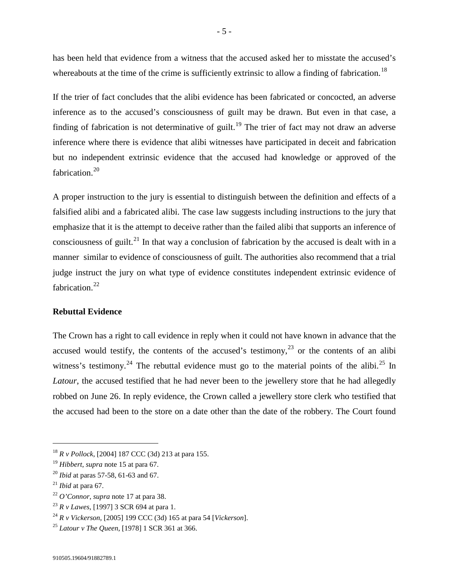has been held that evidence from a witness that the accused asked her to misstate the accused's whereabouts at the time of the crime is sufficiently extrinsic to allow a finding of fabrication.<sup>[18](#page-5-0)</sup>

If the trier of fact concludes that the alibi evidence has been fabricated or concocted, an adverse inference as to the accused's consciousness of guilt may be drawn. But even in that case, a finding of fabrication is not determinative of guilt.<sup>[19](#page-5-1)</sup> The trier of fact may not draw an adverse inference where there is evidence that alibi witnesses have participated in deceit and fabrication but no independent extrinsic evidence that the accused had knowledge or approved of the fabrication.<sup>[20](#page-5-2)</sup>

A proper instruction to the jury is essential to distinguish between the definition and effects of a falsified alibi and a fabricated alibi. The case law suggests including instructions to the jury that emphasize that it is the attempt to deceive rather than the failed alibi that supports an inference of consciousness of guilt.<sup>[21](#page-5-3)</sup> In that way a conclusion of fabrication by the accused is dealt with in a manner similar to evidence of consciousness of guilt. The authorities also recommend that a trial judge instruct the jury on what type of evidence constitutes independent extrinsic evidence of fabrication.<sup>[22](#page-5-4)</sup>

#### **Rebuttal Evidence**

<span id="page-5-8"></span>The Crown has a right to call evidence in reply when it could not have known in advance that the accused would testify, the contents of the accused's testimony, $23$  or the contents of an alibi witness's testimony.<sup>[24](#page-5-6)</sup> The rebuttal evidence must go to the material points of the alibi.<sup>[25](#page-5-7)</sup> In *Latour*, the accused testified that he had never been to the jewellery store that he had allegedly robbed on June 26. In reply evidence, the Crown called a jewellery store clerk who testified that the accused had been to the store on a date other than the date of the robbery. The Court found

<span id="page-5-0"></span> <sup>18</sup> *R v Pollock*, [2004] 187 CCC (3d) 213 at para 155.

<span id="page-5-1"></span><sup>19</sup> *Hibbert*, *supra* note [15](#page-4-5) at para 67.

<span id="page-5-2"></span><sup>20</sup> *Ibid* at paras 57-58, 61-63 and 67.

<span id="page-5-3"></span><sup>21</sup> *Ibid* at para 67.

<span id="page-5-4"></span><sup>22</sup> *O'Connor*, *supra* note [17](#page-4-6) at para 38.

<span id="page-5-5"></span><sup>23</sup> *R v Lawes*, [1997] 3 SCR 694 at para 1.

<span id="page-5-6"></span><sup>24</sup> *R v Vickerson*, [2005] 199 CCC (3d) 165 at para 54 [*Vickerson*].

<span id="page-5-7"></span><sup>25</sup> *Latour v The Queen*, [1978] 1 SCR 361 at 366.